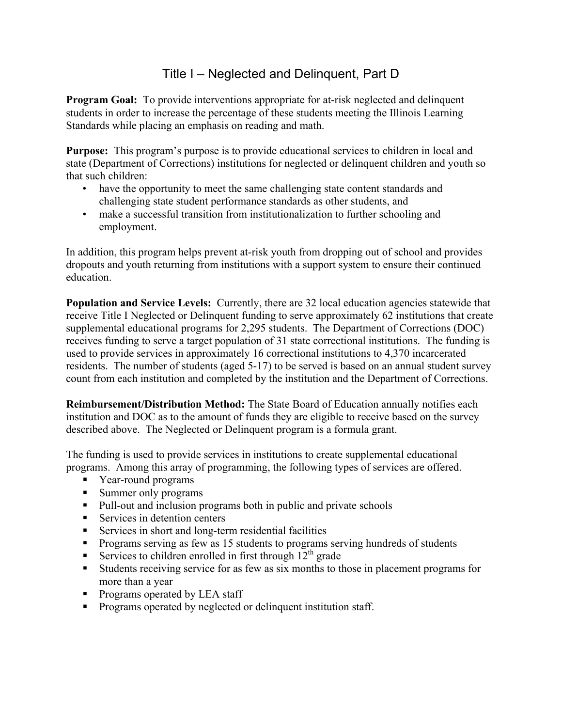## Title I – Neglected and Delinquent, Part D

**Program Goal:** To provide interventions appropriate for at-risk neglected and delinquent students in order to increase the percentage of these students meeting the Illinois Learning Standards while placing an emphasis on reading and math.

**Purpose:** This program's purpose is to provide educational services to children in local and state (Department of Corrections) institutions for neglected or delinquent children and youth so that such children:

- have the opportunity to meet the same challenging state content standards and challenging state student performance standards as other students, and
- make a successful transition from institutionalization to further schooling and employment.

In addition, this program helps prevent at-risk youth from dropping out of school and provides dropouts and youth returning from institutions with a support system to ensure their continued education.

**Population and Service Levels:** Currently, there are 32 local education agencies statewide that receive Title I Neglected or Delinquent funding to serve approximately 62 institutions that create supplemental educational programs for 2,295 students. The Department of Corrections (DOC) receives funding to serve a target population of 31 state correctional institutions. The funding is used to provide services in approximately 16 correctional institutions to 4,370 incarcerated residents. The number of students (aged 5-17) to be served is based on an annual student survey count from each institution and completed by the institution and the Department of Corrections.

**Reimbursement/Distribution Method:** The State Board of Education annually notifies each institution and DOC as to the amount of funds they are eligible to receive based on the survey described above. The Neglected or Delinquent program is a formula grant.

The funding is used to provide services in institutions to create supplemental educational programs. Among this array of programming, the following types of services are offered.

- Year-round programs
- Summer only programs
- Pull-out and inclusion programs both in public and private schools
- Services in detention centers
- Services in short and long-term residential facilities
- **Programs serving as few as 15 students to programs serving hundreds of students**
- Services to children enrolled in first through  $12<sup>th</sup>$  grade
- Students receiving service for as few as six months to those in placement programs for more than a year
- Programs operated by LEA staff
- **Programs operated by neglected or delinquent institution staff.**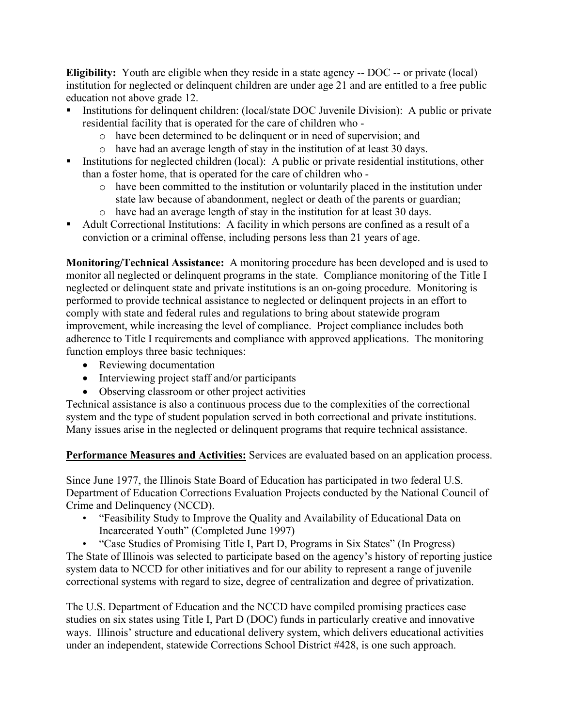**Eligibility:** Youth are eligible when they reside in a state agency -- DOC -- or private (local) institution for neglected or delinquent children are under age 21 and are entitled to a free public education not above grade 12.

- Institutions for delinquent children: (local/state DOC Juvenile Division): A public or private residential facility that is operated for the care of children who
	- o have been determined to be delinquent or in need of supervision; and
	- o have had an average length of stay in the institution of at least 30 days.
- Institutions for neglected children (local): A public or private residential institutions, other than a foster home, that is operated for the care of children who
	- o have been committed to the institution or voluntarily placed in the institution under state law because of abandonment, neglect or death of the parents or guardian;
	- o have had an average length of stay in the institution for at least 30 days.
- Adult Correctional Institutions: A facility in which persons are confined as a result of a conviction or a criminal offense, including persons less than 21 years of age.

**Monitoring/Technical Assistance:** A monitoring procedure has been developed and is used to monitor all neglected or delinquent programs in the state. Compliance monitoring of the Title I neglected or delinquent state and private institutions is an on-going procedure. Monitoring is performed to provide technical assistance to neglected or delinquent projects in an effort to comply with state and federal rules and regulations to bring about statewide program improvement, while increasing the level of compliance. Project compliance includes both adherence to Title I requirements and compliance with approved applications. The monitoring function employs three basic techniques:

- Reviewing documentation
- Interviewing project staff and/or participants
- Observing classroom or other project activities

Technical assistance is also a continuous process due to the complexities of the correctional system and the type of student population served in both correctional and private institutions. Many issues arise in the neglected or delinquent programs that require technical assistance.

**Performance Measures and Activities:** Services are evaluated based on an application process.

Since June 1977, the Illinois State Board of Education has participated in two federal U.S. Department of Education Corrections Evaluation Projects conducted by the National Council of Crime and Delinquency (NCCD).

 • "Feasibility Study to Improve the Quality and Availability of Educational Data on Incarcerated Youth" (Completed June 1997)

 • "Case Studies of Promising Title I, Part D, Programs in Six States" (In Progress) The State of Illinois was selected to participate based on the agency's history of reporting justice system data to NCCD for other initiatives and for our ability to represent a range of juvenile correctional systems with regard to size, degree of centralization and degree of privatization.

The U.S. Department of Education and the NCCD have compiled promising practices case studies on six states using Title I, Part D (DOC) funds in particularly creative and innovative ways. Illinois' structure and educational delivery system, which delivers educational activities under an independent, statewide Corrections School District #428, is one such approach.